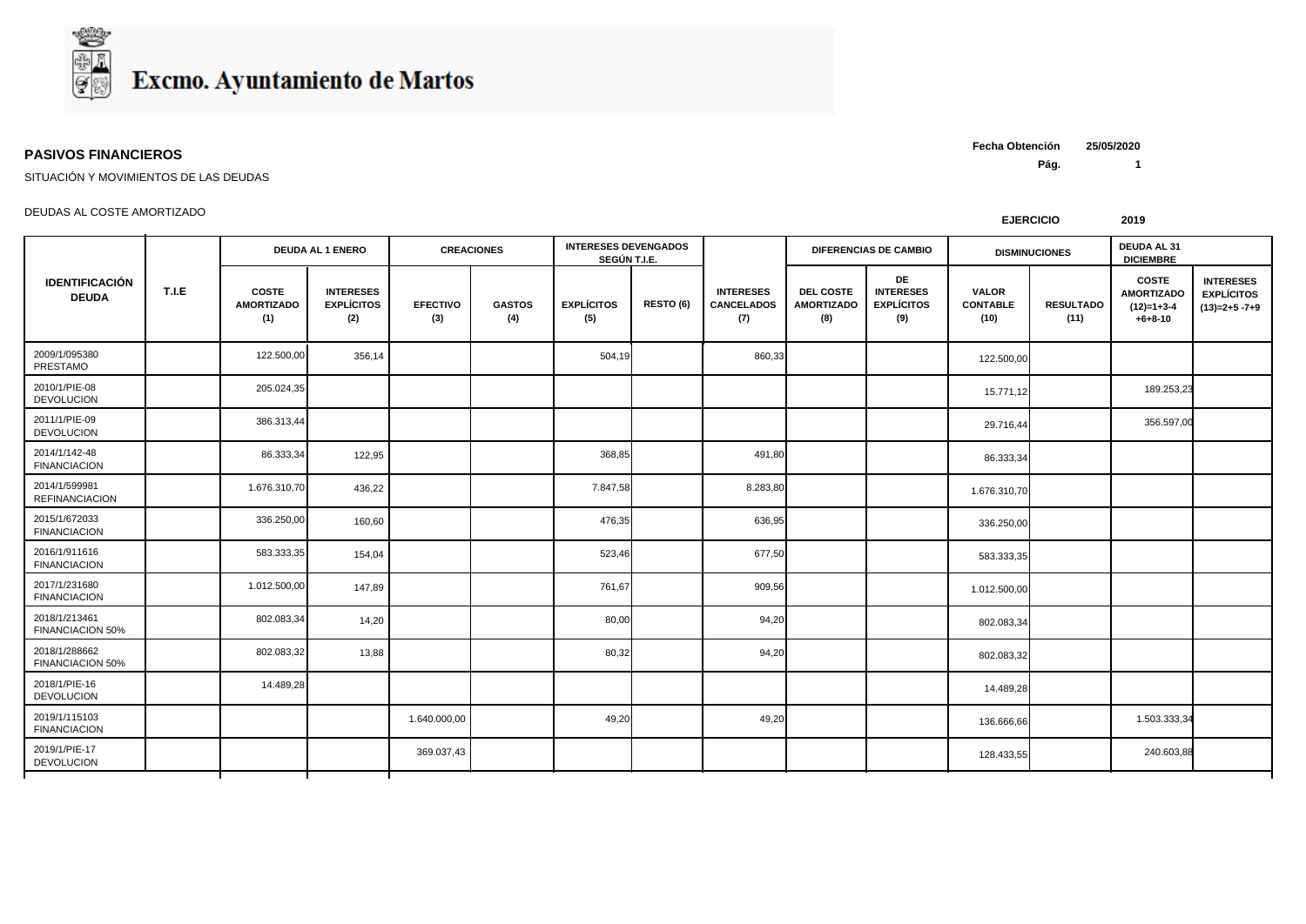

## **PASIVOS FINANCIEROS**

**Pág. 1 Fecha Obtención 25/05/2020**

SITUACIÓN Y MOVIMIENTOS DE LAS DEUDAS

## DEUDAS AL COSTE AMORTIZADO

| <b>IDENTIFICACIÓN</b><br><b>DEUDA</b>  | T.I.E | <b>DEUDA AL 1 ENERO</b>                  |                                              | <b>CREACIONES</b>      |                      | <b>INTERESES DEVENGADOS</b><br>SEGÚN T.I.E. |           |                                              |                                              | <b>DIFERENCIAS DE CAMBIO</b>                       |                                         | DEUDA AL 31<br><b>DISMINUCIONES</b><br><b>DICIEMBRE</b> |                                                                |                                                         |
|----------------------------------------|-------|------------------------------------------|----------------------------------------------|------------------------|----------------------|---------------------------------------------|-----------|----------------------------------------------|----------------------------------------------|----------------------------------------------------|-----------------------------------------|---------------------------------------------------------|----------------------------------------------------------------|---------------------------------------------------------|
|                                        |       | <b>COSTE</b><br><b>AMORTIZADO</b><br>(1) | <b>INTERESES</b><br><b>EXPLÍCITOS</b><br>(2) | <b>EFECTIVO</b><br>(3) | <b>GASTOS</b><br>(4) | <b>EXPLÍCITOS</b><br>(5)                    | RESTO (6) | <b>INTERESES</b><br><b>CANCELADOS</b><br>(7) | <b>DEL COSTE</b><br><b>AMORTIZADO</b><br>(8) | DE<br><b>INTERESES</b><br><b>EXPLÍCITOS</b><br>(9) | <b>VALOR</b><br><b>CONTABLE</b><br>(10) | <b>RESULTADO</b><br>(11)                                | <b>COSTE</b><br><b>AMORTIZADO</b><br>$(12)=1+3-4$<br>$+6+8-10$ | <b>INTERESES</b><br><b>EXPLÍCITOS</b><br>$(13)=2+5-7+9$ |
| 2009/1/095380<br>PRESTAMO              |       | 122.500,00                               | 356,14                                       |                        |                      | 504,19                                      |           | 860,33                                       |                                              |                                                    | 122.500,00                              |                                                         |                                                                |                                                         |
| 2010/1/PIE-08<br><b>DEVOLUCION</b>     |       | 205.024,35                               |                                              |                        |                      |                                             |           |                                              |                                              |                                                    | 15.771,12                               |                                                         | 189.253,23                                                     |                                                         |
| 2011/1/PIE-09<br><b>DEVOLUCION</b>     |       | 386.313,44                               |                                              |                        |                      |                                             |           |                                              |                                              |                                                    | 29.716,44                               |                                                         | 356.597,00                                                     |                                                         |
| 2014/1/142-48<br><b>FINANCIACION</b>   |       | 86.333,34                                | 122,95                                       |                        |                      | 368,85                                      |           | 491,80                                       |                                              |                                                    | 86.333,34                               |                                                         |                                                                |                                                         |
| 2014/1/599981<br><b>REFINANCIACION</b> |       | 1.676.310,70                             | 436,22                                       |                        |                      | 7.847,58                                    |           | 8.283,80                                     |                                              |                                                    | 1.676.310,70                            |                                                         |                                                                |                                                         |
| 2015/1/672033<br><b>FINANCIACION</b>   |       | 336.250,00                               | 160,60                                       |                        |                      | 476,35                                      |           | 636,95                                       |                                              |                                                    | 336.250,00                              |                                                         |                                                                |                                                         |
| 2016/1/911616<br><b>FINANCIACION</b>   |       | 583.333,35                               | 154,04                                       |                        |                      | 523,46                                      |           | 677,50                                       |                                              |                                                    | 583.333,35                              |                                                         |                                                                |                                                         |
| 2017/1/231680<br><b>FINANCIACION</b>   |       | 1.012.500,00                             | 147,89                                       |                        |                      | 761,67                                      |           | 909,56                                       |                                              |                                                    | 1.012.500,00                            |                                                         |                                                                |                                                         |
| 2018/1/213461<br>FINANCIACION 50%      |       | 802.083,34                               | 14,20                                        |                        |                      | 80,00                                       |           | 94,20                                        |                                              |                                                    | 802.083,34                              |                                                         |                                                                |                                                         |
| 2018/1/288662<br>FINANCIACION 50%      |       | 802.083,32                               | 13,88                                        |                        |                      | 80,32                                       |           | 94,20                                        |                                              |                                                    | 802.083,32                              |                                                         |                                                                |                                                         |
| 2018/1/PIE-16<br><b>DEVOLUCION</b>     |       | 14.489,28                                |                                              |                        |                      |                                             |           |                                              |                                              |                                                    | 14.489,28                               |                                                         |                                                                |                                                         |
| 2019/1/115103<br><b>FINANCIACION</b>   |       |                                          |                                              | 1.640.000,00           |                      | 49,20                                       |           | 49,20                                        |                                              |                                                    | 136.666,66                              |                                                         | 1.503.333,34                                                   |                                                         |
| 2019/1/PIE-17<br><b>DEVOLUCION</b>     |       |                                          |                                              | 369.037,43             |                      |                                             |           |                                              |                                              |                                                    | 128.433,55                              |                                                         | 240.603,88                                                     |                                                         |

**EJERCICIO 2019**